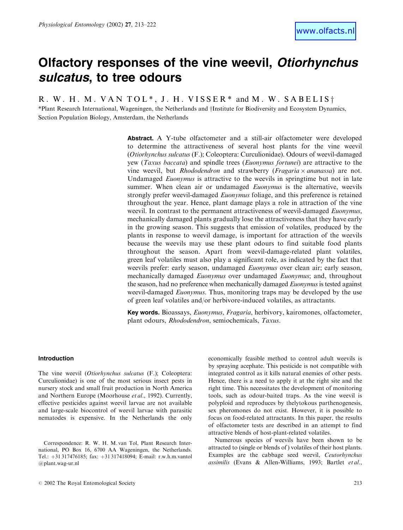# Olfactory responses of the vine weevil, Otiorhynchus sulcatus, to tree odours

R. W. H. M. VAN TOL<sup>\*</sup>, J. H. VISSER<sup>\*</sup> and M. W. SABELIS<sup>†</sup>

\*Plant Research International, Wageningen, the Netherlands and †Institute for Biodiversity and Ecosystem Dynamics, Section Population Biology, Amsterdam, the Netherlands

> Abstract. A Y-tube olfactometer and a still-air olfactometer were developed to determine the attractiveness of several host plants for the vine weevil (Otiorhynchus sulcatus (F.); Coleoptera: Curculionidae). Odours of weevil-damaged yew (*Taxus baccata*) and spindle trees (*Euonymus fortunei*) are attractive to the vine weevil, but Rhododendron and strawberry (Fragaria  $\times$  ananassa) are not. Undamaged *Euonymus* is attractive to the weevils in springtime but not in late summer. When clean air or undamaged *Euonymus* is the alternative, weevils strongly prefer weevil-damaged Euonymus foliage, and this preference is retained throughout the year. Hence, plant damage plays a role in attraction of the vine weevil. In contrast to the permanent attractiveness of weevil-damaged *Euonymus*, mechanically damaged plants gradually lose the attractiveness that they have early in the growing season. This suggests that emission of volatiles, produced by the plants in response to weevil damage, is important for attraction of the weevils because the weevils may use these plant odours to find suitable food plants throughout the season. Apart from weevil-damage-related plant volatiles, green leaf volatiles must also play a significant role, as indicated by the fact that weevils prefer: early season, undamaged *Euonymus* over clean air; early season, mechanically damaged *Euonymus* over undamaged *Euonymus*; and, throughout the season, had no preference when mechanically damaged *Euonymus* is tested against weevil-damaged *Euonymus*. Thus, monitoring traps may be developed by the use of green leaf volatiles and/or herbivore-induced volatiles, as attractants.

> **Key words.** Bioassays, *Euonymus, Fragaria*, herbivory, kairomones, olfactometer, plant odours, Rhododendron, semiochemicals, Taxus.

# **Introduction**

The vine weevil (Otiorhynchus sulcatus (F.); Coleoptera: Curculionidae) is one of the most serious insect pests in nursery stock and small fruit production in North America and Northern Europe (Moorhouse *et al.*, 1992). Currently, effective pesticides against weevil larvae are not available and large-scale biocontrol of weevil larvae with parasitic nematodes is expensive. In the Netherlands the only economically feasible method to control adult weevils is by spraying acephate. This pesticide is not compatible with integrated control as it kills natural enemies of other pests. Hence, there is a need to apply it at the right site and the right time. This necessitates the development of monitoring tools, such as odour-baited traps. As the vine weevil is polyploid and reproduces by thelytokous parthenogenesis, sex pheromones do not exist. However, it is possible to focus on food-related attractants. In this paper, the results of olfactometer tests are described in an attempt to find attractive blends of host-plant-related volatiles.

Numerous species of weevils have been shown to be attracted to (single or blends of) volatiles of their host plants. Examples are the cabbage seed weevil, Ceutorhynchus assimilis (Evans & Allen-Williams, 1993; Bartlet et al.,

Correspondence: R. W. H. M. van Tol, Plant Research International, PO Box 16, 6700 AA Wageningen, the Netherlands. Tel.: +31 317476185; fax: +31 317418094; E-mail: r.w.h.m.vantol  $@$ plant.wag-ur.nl

<sup>© 2002</sup> The Royal Entomological Society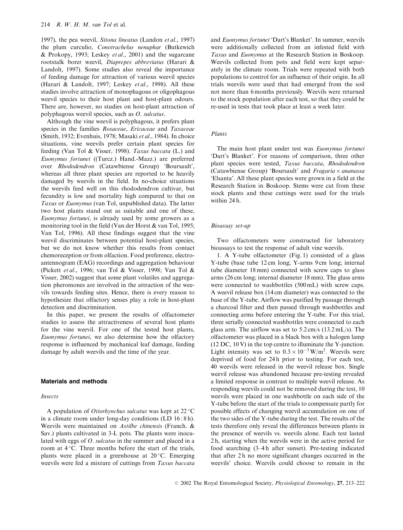1997), the pea weevil, Sitona lineatus (Landon et al., 1997) the plum curculio, Conotrachelus nenuphar (Butkewich & Prokopy, 1993; Leskey et al., 2001) and the sugarcane rootstalk borer weevil, Diaprepes abbreviatus (Harari & Landolt, 1997). Some studies also reveal the importance of feeding damage for attraction of various weevil species (Harari & Landolt, 1997; Leskey et al., 1998). All these studies involve attraction of monophagous or oligophagous weevil species to their host plant and host-plant odours. There are, however, no studies on host-plant attraction of polyphagous weevil species, such as O. sulcatus.

Although the vine weevil is polyphagous, it prefers plant species in the families Rosaceae, Ericaceae and Taxaceae (Smith, 1932; Evenhuis, 1978; Masaki et al., 1984). In choice situations, vine weevils prefer certain plant species for feeding (Van Tol & Visser, 1998). Taxus baccata (L.) and Euonymus fortunei ((Turcz.) Hand.-Mazz.) are preferred over Rhododendron (Catawbiense Group) 'Boursault', whereas all three plant species are reported to be heavily damaged by weevils in the field. In no-choice situations the weevils feed well on this rhododendron cultivar, but fecundity is low and mortality high compared to that on *Taxus* or *Euonymus* (van Tol, unpublished data). The latter two host plants stand out as suitable and one of these, Euonymus fortunei, is already used by some growers as a monitoring tool in the field (Van der Horst & van Tol, 1995; Van Tol, 1996). All these findings suggest that the vine weevil discriminates between potential host-plant species, but we do not know whether this results from contact chemoreception or from olfaction. Food preference, electroantennogram (EAG) recordings and aggregation behaviour (Pickett et al., 1996; van Tol & Visser, 1998; Van Tol & Visser, 2002) suggest that some plant volatiles and aggregation pheromones are involved in the attraction of the weevils towards feeding sites. Hence, there is every reason to hypothesize that olfactory senses play a role in host-plant detection and discrimination.

In this paper, we present the results of olfactometer studies to assess the attractiveness of several host plants for the vine weevil. For one of the tested host plants, Euonymus fortunei, we also determine how the olfactory response is influenced by mechanical leaf damage, feeding damage by adult weevils and the time of the year.

## **Materials and methods**

#### Insects

A population of *Otiorhynchus sulcatus* was kept at  $22^{\circ}$ C in a climate room under long-day conditions (LD 16:8h). Weevils were maintained on *Astilbe chinensis* (Franch, & Sav.) plants cultivated in 3-L pots. The plants were inoculated with eggs of O. sulcatus in the summer and placed in a room at 4 °C. Three months before the start of the trials, plants were placed in a greenhouse at  $20^{\circ}$ C. Emerging weevils were fed a mixture of cuttings from Taxus baccata

and Euonymus fortunei 'Dart's Blanket'. In summer, weevils were additionally collected from an infested field with Taxus and Euonymus at the Research Station in Boskoop. Weevils collected from pots and field were kept separately in the climate room. Trials were repeated with both populations to control for an influence of their origin. In all trials weevils were used that had emerged from the soil not more than 6 months previously. Weevils were returned to the stock population after each test, so that they could be re-used in tests that took place at least a week later.

# Plants

The main host plant under test was Euonymus fortunei 'Dart's Blanket'. For reasons of comparison, three other plant species were tested, Taxus baccata, Rhododendron (Catawbiense Group) 'Boursault' and Fragaria  $\times$  ananassa 'Elsanta'. All these plant species were grown in a field at the Research Station in Boskoop. Stems were cut from these stock plants and these cuttings were used for the trials within 24 h.

# Bioassay set-up

Two olfactometers were constructed for laboratory bioassays to test the response of adult vine weevils.

1. A Y-tube olfactometer (Fig. 1) consisted of a glass Y-tube (base tube 12 cm long; Y-arms 9 cm long; internal tube diameter 18 mm) connected with screw caps to glass arms (26 cm long; internal diameter 18 mm). The glass arms were connected to washbottles (500 mL) with screw caps. A weevil release box (14 cm diameter) was connected to the base of the Y-tube. Airflow was purified by passage through a charcoal filter and then passed through washbottles and connecting arms before entering the Y-tube. For this trial. three serially connected washbottles were connected to each glass arm. The airflow was set to  $5.2 \text{ cm/s}$  (13.2 mL/s). The olfactometer was placed in a black box with a halogen lamp  $(12 \text{ DC}, 10 \text{ V})$  in the top centre to illuminate the Y-junction. Light intensity was set to  $0.3 \times 10^{-3}$  W/m<sup>2</sup>. Weevils were deprived of food for 24h prior to testing. For each test, 40 weevils were released in the weevil release box. Single weevil release was abandoned because pre-testing revealed a limited response in contrast to multiple weevil release. As responding weevils could not be removed during the test, 10 weevils were placed in one washbottle on each side of the Y-tube before the start of the trials to compensate partly for possible effects of changing weevil accumulation on one of the two sides of the Y-tube during the test. The results of the tests therefore only reveal the differences between plants in the presence of weevils vs. weevils alone. Each test lasted 2h, starting when the weevils were in the active period for food searching (3-4h after sunset). Pre-testing indicated that after 2h no more significant changes occurred in the weevils' choice. Weevils could choose to remain in the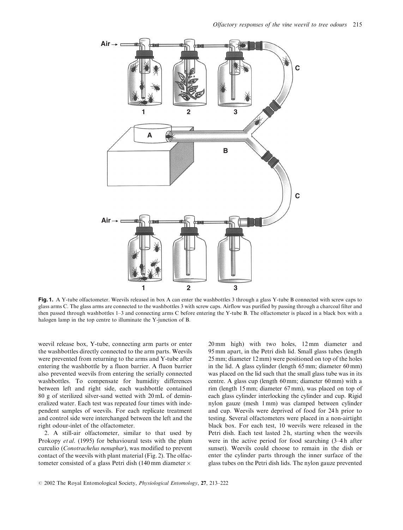

Fig. 1. A Y-tube olfactometer. Weevils released in box A can enter the washbottles 3 through a glass Y-tube B connected with screw caps to glass arms C. The glass arms are connected to the washbottles 3 with screw caps. Airflow was purified by passing through a charcoal filter and then passed through washbottles 1-3 and connecting arms C before entering the Y-tube B. The olfactometer is placed in a black box with a halogen lamp in the top centre to illuminate the Y-junction of B.

weevil release box, Y-tube, connecting arm parts or enter the washbottles directly connected to the arm parts. Weevils were prevented from returning to the arms and Y-tube after entering the washbottle by a fluon barrier. A fluon barrier also prevented weevils from entering the serially connected washbottles. To compensate for humidity differences between left and right side, each washbottle contained 80 g of sterilized silver-sand wetted with 20 mL of demineralized water. Each test was repeated four times with independent samples of weevils. For each replicate treatment and control side were interchanged between the left and the right odour-inlet of the olfactometer.

2. A still-air olfactometer, similar to that used by Prokopy et al. (1995) for behavioural tests with the plum curculio (Conotrachelus nenuphar), was modified to prevent contact of the weevils with plant material (Fig. 2). The olfactometer consisted of a glass Petri dish (140 mm diameter  $\times$ 

20 mm high) with two holes, 12 mm diameter and 95 mm apart, in the Petri dish lid. Small glass tubes (length 25 mm; diameter 12 mm) were positioned on top of the holes in the lid. A glass cylinder (length 65 mm; diameter 60 mm) was placed on the lid such that the small glass tube was in its centre. A glass cup (length 60 mm; diameter 60 mm) with a rim (length 15 mm; diameter 67 mm), was placed on top of each glass cylinder interlocking the cylinder and cup. Rigid nylon gauze (mesh 1 mm) was clamped between cylinder and cup. Weevils were deprived of food for 24h prior to testing. Several olfactometers were placed in a non-airtight black box. For each test, 10 weevils were released in the Petri dish. Each test lasted 2h, starting when the weevils were in the active period for food searching  $(3-4h)$  after sunset). Weevils could choose to remain in the dish or enter the cylinder parts through the inner surface of the glass tubes on the Petri dish lids. The nylon gauze prevented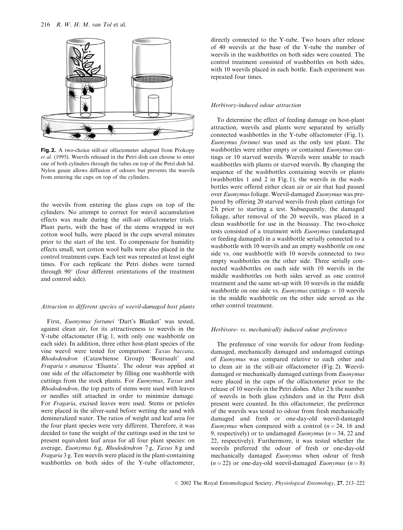

Fig. 2. A two-choice still-air olfactometer adapted from Prokopy et al. (1995). Weevils released in the Petri dish can choose to enter one of both cylinders through the tubes on top of the Petri dish lid. Nylon gauze allows diffusion of odours but prevents the weevils from entering the cups on top of the cylinders.

the weevils from entering the glass cups on top of the cylinders. No attempt to correct for weevil accumulation effects was made during the still-air olfactometer trials. Plant parts, with the base of the stems wrapped in wet cotton wool balls, were placed in the cups several minutes prior to the start of the test. To compensate for humidity effects small, wet cotton wool balls were also placed in the control treatment cups. Each test was repeated at least eight times. For each replicate the Petri dishes were turned through 90° (four different orientations of the treatment and control side).

## Attraction to different species of weevil-damaged host plants

First, Euonymus fortunei 'Dart's Blanket' was tested, against clean air, for its attractiveness to weevils in the Y-tube olfactometer (Fig. 1, with only one washbottle on each side). In addition, three other host-plant species of the vine weevil were tested for comparison: Taxus baccata, Rhododendron (Catawbiense Group) 'Boursault' and *Fragaria*  $\times$  *ananassa* 'Elsanta'. The odour was applied at one side of the olfactometer by filling one washbottle with cuttings from the stock plants. For Euonymus, Taxus and Rhododendron, the top parts of stems were used with leaves or needles still attached in order to minimize damage. For Fragaria, excised leaves were used. Stems or petioles were placed in the silver-sand before wetting the sand with demineralized water. The ratios of weight and leaf area for the four plant species were very different. Therefore, it was decided to tune the weight of the cuttings used in the test to present equivalent leaf areas for all four plant species: on average, Euonymus 6g, Rhododendron 7g, Taxus 8g and *Fragaria* 3 g. Ten weevils were placed in the plant-containing washbottles on both sides of the Y-tube olfactometer,

directly connected to the Y-tube. Two hours after release of 40 weevils at the base of the Y-tube the number of weevils in the washbottles on both sides were counted. The control treatment consisted of washbottles on both sides. with 10 weevils placed in each bottle. Each experiment was repeated four times.

#### Herbivory-induced odour attraction

To determine the effect of feeding damage on host-plant attraction, weevils and plants were separated by serially connected washbottles in the Y-tube olfactometer (Fig. 1). Euonymus fortunei was used as the only test plant. The washbottles were either empty or contained *Euonymus* cuttings or 10 starved weevils. Weevils were unable to reach washbottles with plants or starved weevils. By changing the sequence of the washbottles containing weevils or plants (washbottles 1 and 2 in Fig. 1), the weevils in the washbottles were offered either clean air or air that had passed over *Euonymus* foliage. Weevil-damaged *Euonymus* was prepared by offering 20 starved weevils fresh plant cuttings for 2h prior to starting a test. Subsequently, the damaged foliage, after removal of the 20 weevils, was placed in a clean washbottle for use in the bioassay. The two-choice tests consisted of a treatment with *Euonymus* (undamaged or feeding damaged) in a washbottle serially connected to a washbottle with 10 weevils and an empty washbottle on one side vs. one washbottle with 10 weevils connected to two empty washbottles on the other side. Three serially connected washbottles on each side with 10 weevils in the middle washbottles on both sides served as one control treatment and the same set-up with 10 weevils in the middle washbottle on one side vs. *Euonymus* cuttings  $+10$  weevils in the middle washbottle on the other side served as the other control treatment.

## Herbivore- vs. mechanically induced odour preference

The preference of vine weevils for odour from feedingdamaged, mechanically damaged and undamaged cuttings of Euonymus was compared relative to each other and to clean air in the still-air olfactometer (Fig. 2). Weevildamaged or mechanically damaged cuttings from Euonymus were placed in the cups of the olfactometer prior to the release of 10 weevils in the Petri dishes. After 2 h the number of weevils in both glass cylinders and in the Petri dish present were counted. In this olfactometer, the preference of the weevils was tested to odour from fresh mechanically damaged and fresh or one-day-old weevil-damaged *Euonymus* when compared with a control  $(n=24, 16$  and 9, respectively) or to undamaged *Euonymus* ( $n = 34$ , 22 and 22, respectively). Furthermore, it was tested whether the weevils preferred the odour of fresh or one-day-old mechanically damaged Euonymus when odour of fresh  $(n=22)$  or one-day-old weevil-damaged *Euonymus*  $(n=8)$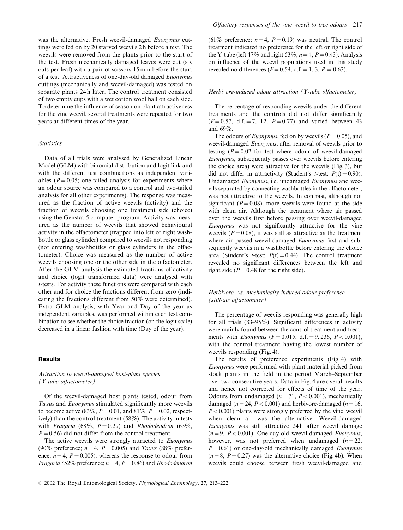was the alternative. Fresh weevil-damaged Euonymus cuttings were fed on by 20 starved weevils 2 h before a test. The weevils were removed from the plants prior to the start of the test. Fresh mechanically damaged leaves were cut (six cuts per leaf) with a pair of scissors 15 min before the start of a test. Attractiveness of one-day-old damaged Euonymus cuttings (mechanically and weevil-damaged) was tested on separate plants 24 h later. The control treatment consisted of two empty cups with a wet cotton wool ball on each side. To determine the influence of season on plant attractiveness for the vine weevil, several treatments were repeated for two years at different times of the year.

## **Statistics**

Data of all trials were analysed by Generalized Linear Model (GLM) with binomial distribution and logit link and with the different test combinations as independent variables ( $P = 0.05$ ; one-tailed analysis for experiments where an odour source was compared to a control and two-tailed analysis for all other experiments). The response was measured as the fraction of active weevils (activity) and the fraction of weevils choosing one treatment side (choice) using the Genstat 5 computer program. Activity was measured as the number of weevils that showed behavioural activity in the olfactometer (trapped into left or right washbottle or glass cylinder) compared to weevils not responding (not entering washbottles or glass cylinders in the olfactometer). Choice was measured as the number of active weevils choosing one or the other side in the olfactometer. After the GLM analysis the estimated fractions of activity and choice (logit transformed data) were analysed with *t*-tests. For activity these functions were compared with each other and for choice the fractions different from zero (indicating the fractions different from 50% were determined). Extra GLM analysis, with Year and Day of the year as independent variables, was performed within each test combination to see whether the choice fraction (on the logit scale) decreased in a linear fashion with time (Day of the year).

# **Results**

# Attraction to weevil-damaged host-plant species  $(Y$ -tube olfactometer)

Of the weevil-damaged host plants tested, odour from Taxus and Euonymus stimulated significantly more weevils to become active (83%,  $P = 0.01$ , and 81%,  $P = 0.02$ , respectively) than the control treatment (58%). The activity in tests with Fragaria (68%,  $P = 0.29$ ) and Rhododendron (63%,  $P = 0.56$ ) did not differ from the control treatment.

The active weevils were strongly attracted to Euonymus (90% preference;  $n=4$ ,  $P=0.005$ ) and *Taxus* (88% preference;  $n = 4$ ,  $P = 0.005$ ), whereas the response to odour from *Fragaria* (52% preference;  $n = 4$ ,  $P = 0.86$ ) and *Rhododendron*  (61% preference;  $n=4$ ,  $P=0.19$ ) was neutral. The control treatment indicated no preference for the left or right side of the Y-tube (left 47% and right 53%;  $n = 4$ ,  $P = 0.43$ ). Analysis on influence of the weevil populations used in this study revealed no differences ( $F = 0.59$ , d.f. = 1, 3,  $P = 0.63$ ).

## Herbivore-induced odour attraction (Y-tube olfactometer)

The percentage of responding weevils under the different treatments and the controls did not differ significantly  $(F=0.57, d.f. = 7, 12, P=0.77)$  and varied between 43 and 69%.

The odours of *Euonymus*, fed on by weevils ( $P = 0.05$ ), and weevil-damaged Euonymus, after removal of weevils prior to testing ( $P = 0.02$  for test where odour of weevil-damaged *Euonymus*, subsequently passes over weevils before entering the choice area) were attractive for the weevils (Fig. 3), but did not differ in attractivity (Student's *t*-test:  $P(t) = 0.90$ ). Undamaged Euonymus, i.e. undamaged Euonymus and weevils separated by connecting washbottles in the olfactometer, was not attractive to the weevils. In contrast, although not significant ( $P = 0.08$ ), more weevils were found at the side with clean air. Although the treatment where air passed over the weevils first before passing over weevil-damaged Euonymus was not significantly attractive for the vine weevils ( $P = 0.08$ ), it was still as attractive as the treatment where air passed weevil-damaged *Euonymus* first and subsequently weevils in a washbottle before entering the choice area (Student's *t*-test:  $P(t) = 0.44$ ). The control treatment revealed no significant differences between the left and right side ( $P = 0.48$  for the right side).

# Herbivore- vs. mechanically-induced odour preference (still-air olfactometer)

The percentage of weevils responding was generally high for all trials (83-95%). Significant differences in activity were mainly found between the control treatment and treatments with *Euonymus* ( $F = 0.015$ , d.f. = 9, 236,  $P < 0.001$ ), with the control treatment having the lowest number of weevils responding (Fig. 4).

The results of preference experiments (Fig. 4) with Euonymus were performed with plant material picked from stock plants in the field in the period March-September over two consecutive years. Data in Fig. 4 are overall results and hence not corrected for effects of time of the year. Odours from undamaged  $(n=71, P<0.001)$ , mechanically damaged ( $n = 24$ ,  $P < 0.001$ ) and herbivore-damaged ( $n = 16$ ,  $P < 0.001$ ) plants were strongly preferred by the vine weevil when clean air was the alternative. Weevil-damaged Euonymus was still attractive 24h after weevil damage  $(n=9, P<0.001)$ . One-day-old weevil-damaged *Euonymus*, however, was not preferred when undamaged  $(n=22,$  $P = 0.61$ ) or one-day-old mechanically damaged *Euonymus*  $(n=8, P=0.27)$  was the alternative choice (Fig. 4b). When weevils could choose between fresh weevil-damaged and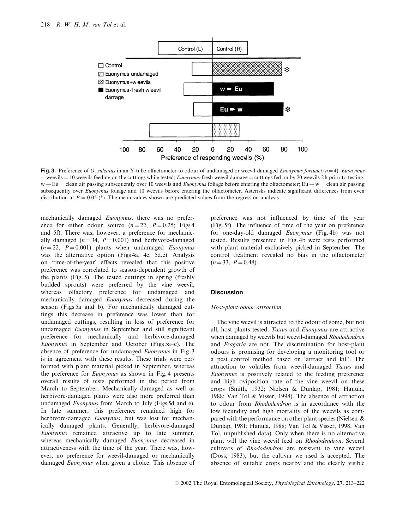

Fig. 3. Preference of O. sulcatus in an Y-tube olfactometer to odour of undamaged or weevil-damaged *Euonymus fortunei*  $(n=4)$ . *Euonymus* + weevils = 10 weevils feeding on the cuttings while tested; *Euonymus*-fresh weevil damage = cuttings fed on by 20 weevils 2h prior to testing;  $w \rightarrow Eu$  = clean air passing subsequently over 10 weevils and *Euonymus* foliage before entering the olfactometer; Eu  $\rightarrow w$  = clean air passing subsequently over *Euonymus* foliage and 10 weevils before entering the olfactometer. Asterisks indicate significant differences from even distribution at  $P = 0.05$  (\*). The mean values shown are predicted values from the regression analysis.

mechanically damaged *Euonymus*, there was no preference for either odour source  $(n=22, P=0.25;$  Figs 4 and 5f). There was, however, a preference for mechanically damaged  $(n=34, P=0.001)$  and herbivore-damaged  $(n=22, P=0.001)$  plants when undamaged *Euonymus* was the alternative option (Figs 4a, 4c, 5d, e). Analysis on 'time-of-the-year' effects revealed that this positive preference was correlated to season-dependent growth of the plants (Fig. 5). The tested cuttings in spring (freshly budded sprouts) were preferred by the vine weevil, whereas olfactory preference for undamaged and mechanically damaged *Euonymus* decreased during the season (Figs 5a and b). For mechanically damaged cuttings this decrease in preference was lower than for undamaged cuttings, resulting in loss of preference for undamaged *Euonymus* in September and still significant preference for mechanically and herbivore-damaged *Euonymus* in September and October (Figs 5a–c). The absence of preference for undamaged *Euonymus* in Fig. 3 is in agreement with these results. These trials were performed with plant material picked in September, whereas the preference for *Euonymus* as shown in Fig. 4 presents overall results of tests performed in the period from March to September. Mechanically damaged as well as herbivore-damaged plants were also more preferred than undamaged *Euonymus* from March to July (Figs 5d and e). In late summer, this preference remained high for herbivore-damaged Euonymus, but was lost for mechanically damaged plants. Generally, herbivore-damaged Euonymus remained attractive up to late summer, whereas mechanically damaged Euonymus decreased in attractiveness with the time of the year. There was, however, no preference for weevil-damaged or mechanically damaged *Euonymus* when given a choice. This absence of preference was not influenced by time of the year (Fig. 5f). The influence of time of the year on preference for one-day-old damaged *Euonymus* (Fig. 4b) was not tested. Results presented in Fig. 4b were tests performed with plant material exclusively picked in September. The control treatment revealed no bias in the olfactometer  $(n=33, P=0.48).$ 

## **Discussion**

## Host-plant odour attraction

The vine weevil is attracted to the odour of some, but not all, host plants tested. Taxus and Euonymus are attractive when damaged by weevils but weevil-damaged Rhododendron and *Fragaria* are not. The discrimination for host-plant odours is promising for developing a monitoring tool or a pest control method based on 'attract and kill'. The attraction to volatiles from weevil-damaged Taxus and *Euonymus* is positively related to the feeding preference and high oviposition rate of the vine weevil on these crops (Smith, 1932; Nielsen & Dunlap, 1981; Hanula, 1988; Van Tol & Visser, 1998). The absence of attraction to odour from *Rhododendron* is in accordance with the low fecundity and high mortality of the weevils as compared with the performance on other plant species (Nielsen & Dunlap, 1981; Hanula, 1988; Van Tol & Visser, 1998; Van Tol, unpublished data). Only when there is no alternative plant will the vine weevil feed on Rhododendron. Several cultivars of Rhododendron are resistant to vine weevil (Doss, 1983), but the cultivar we used is accepted. The absence of suitable crops nearby and the clearly visible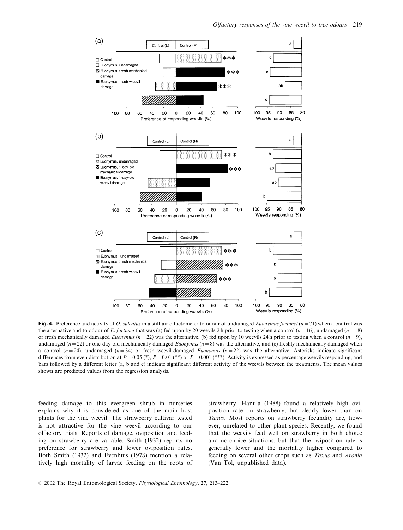

Fig. 4. Preference and activity of O. sulcatus in a still-air olfactometer to odour of undamaged *Euonymus fortunei*  $(n=71)$  when a control was the alternative and to odour of E. fortunei that was (a) fed upon by 20 weevils 2 h prior to testing when a control  $(n=16)$ , undamaged  $(n=18)$ or fresh mechanically damaged *Euonymus* ( $n = 22$ ) was the alternative, (b) fed upon by 10 weevils 24h prior to testing when a control ( $n = 9$ ), undamaged ( $n=22$ ) or one-day-old mechanically damaged *Euonymus* ( $n=8$ ) was the alternative, and (c) freshly mechanically damaged when a control ( $n=24$ ), undamaged ( $n=34$ ) or fresh weevil-damaged *Euonymus* ( $n=22$ ) was the alternative. Asterisks indicate significant differences from even distribution at  $P = 0.05$  (\*),  $P = 0.01$  (\*\*) or  $P = 0.001$  (\*\*\*). Activity is expressed as percentage weevils responding, and bars followed by a different letter (a, b and c) indicate significant different activity of the weevils between the treatments. The mean values shown are predicted values from the regression analysis.

feeding damage to this evergreen shrub in nurseries explains why it is considered as one of the main host plants for the vine weevil. The strawberry cultivar tested is not attractive for the vine weevil according to our olfactory trials. Reports of damage, oviposition and feeding on strawberry are variable. Smith (1932) reports no preference for strawberry and lower oviposition rates. Both Smith (1932) and Evenhuis (1978) mention a relatively high mortality of larvae feeding on the roots of

strawberry. Hanula (1988) found a relatively high oviposition rate on strawberry, but clearly lower than on Taxus. Most reports on strawberry fecundity are, however, unrelated to other plant species. Recently, we found that the weevils feed well on strawberry in both choice and no-choice situations, but that the oviposition rate is generally lower and the mortality higher compared to feeding on several other crops such as Taxus and Aronia (Van Tol, unpublished data).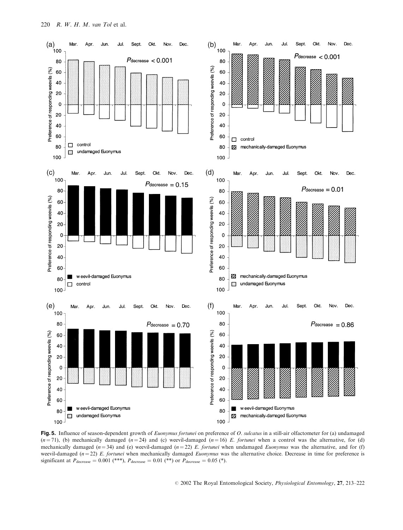

Fig.5. Influence of season-dependent growth of Euonymus fortunei on preference of O. sulcatus in a still-air olfactometer for (a) undamaged  $(n=71)$ , (b) mechanically damaged  $(n=24)$  and (c) weevil-damaged  $(n=16)$  E. fortunei when a control was the alternative, for (d) mechanically damaged  $(n=34)$  and (e) weevil-damaged  $(n=22)$  E. fortunei when undamaged Euonymus was the alternative, and for (f) weevil-damaged  $(n=22)$  E. fortunei when mechanically damaged Euonymus was the alternative choice. Decrease in time for preference is significant at  $P_{\text{decrease}} = 0.001$  (\*\*\*),  $P_{\text{decrease}} = 0.01$  (\*\*) or  $P_{\text{decrease}} = 0.05$  (\*).

© 2002 The Royal Entomological Society, *Physiological Entomology*, 27, 213-222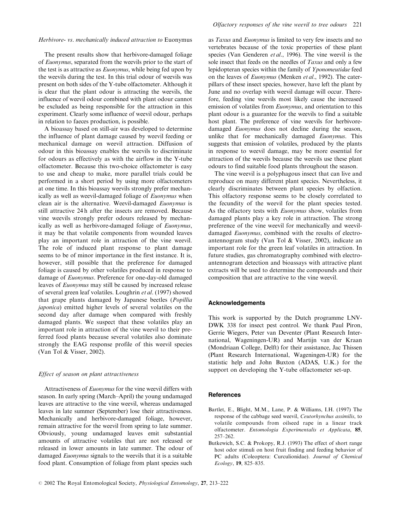## Herbivore- vs. mechanically induced attraction to Euonymus

The present results show that herbivore-damaged foliage of *Euonymus*, separated from the weevils prior to the start of the test is as attractive as *Euonymus*, while being fed upon by the weevils during the test. In this trial odour of weevils was present on both sides of the Y-tube olfactometer. Although it is clear that the plant odour is attracting the weevils, the influence of weevil odour combined with plant odour cannot be excluded as being responsible for the attraction in this experiment. Clearly some influence of weevil odour, perhaps in relation to faeces production, is possible.

A bioassay based on still-air was developed to determine the influence of plant damage caused by weevil feeding or mechanical damage on weevil attraction. Diffusion of odour in this bioassay enables the weevils to discriminate for odours as effectively as with the airflow in the Y-tube olfactometer. Because this two-choice olfactometer is easy to use and cheap to make, more parallel trials could be performed in a short period by using more olfactometers at one time. In this bioassay weevils strongly prefer mechanically as well as weevil-damaged foliage of Euonymus when clean air is the alternative. Weevil-damaged Euonymus is still attractive 24h after the insects are removed. Because vine weevils strongly prefer odours released by mechanically as well as herbivore-damaged foliage of Euonymus, it may be that volatile components from wounded leaves play an important role in attraction of the vine weevil. The role of induced plant response to plant damage seems to be of minor importance in the first instance. It is, however, still possible that the preference for damaged foliage is caused by other volatiles produced in response to damage of *Euonymus*. Preference for one-day-old damaged leaves of *Euonymus* may still be caused by increased release of several green leaf volatiles. Loughrin et al. (1997) showed that grape plants damaged by Japanese beetles (Popillia japonica) emitted higher levels of several volatiles on the second day after damage when compared with freshly damaged plants. We suspect that these volatiles play an important role in attraction of the vine weevil to their preferred food plants because several volatiles also dominate strongly the EAG response profile of this weevil species (Van Tol & Visser, 2002).

## Effect of season on plant attractiveness

Attractiveness of *Euonymus* for the vine weevil differs with season. In early spring (March-April) the young undamaged leaves are attractive to the vine weevil, whereas undamaged leaves in late summer (September) lose their attractiveness. Mechanically and herbivore-damaged foliage, however, remain attractive for the weevil from spring to late summer. Obviously, young undamaged leaves emit substantial amounts of attractive volatiles that are not released or released in lower amounts in late summer. The odour of damaged *Euonymus* signals to the weevils that it is a suitable food plant. Consumption of foliage from plant species such as Taxus and Euonymus is limited to very few insects and no vertebrates because of the toxic properties of these plant species (Van Genderen et al., 1996). The vine weevil is the sole insect that feeds on the needles of *Taxus* and only a few lepidopteran species within the family of Yponomeutidae feed on the leaves of *Euonymus* (Menken et al., 1992). The caterpillars of these insect species, however, have left the plant by June and no overlap with weevil damage will occur. Therefore, feeding vine weevils most likely cause the increased emission of volatiles from Euonymus, and orientation to this plant odour is a guarantee for the weevils to find a suitable host plant. The preference of vine weevils for herbivoredamaged *Euonymus* does not decline during the season, unlike that for mechanically damaged *Euonymus*. This suggests that emission of volatiles, produced by the plants in response to weevil damage, may be more essential for attraction of the weevils because the weevils use these plant odours to find suitable food plants throughout the season.

The vine weevil is a polyphagous insect that can live and reproduce on many different plant species. Nevertheless, it clearly discriminates between plant species by olfaction. This olfactory response seems to be closely correlated to the fecundity of the weevil for the plant species tested. As the olfactory tests with *Euonymus* show, volatiles from damaged plants play a key role in attraction. The strong preference of the vine weevil for mechanically and weevildamaged *Euonymus*, combined with the results of electroantennogram study (Van Tol & Visser, 2002), indicate an important role for the green leaf volatiles in attraction. In future studies, gas chromatography combined with electroantennogram detection and bioassays with attractive plant extracts will be used to determine the compounds and their composition that are attractive to the vine weevil.

## **Acknowledgements**

This work is supported by the Dutch programme LNV-DWK 338 for insect pest control. We thank Paul Piron, Gerrie Wiegers, Peter van Deventer (Plant Research International, Wageningen-UR) and Martijn van der Kraan (Mondriaan College, Delft) for their assistance, Jac Thissen (Plant Research International, Wageningen-UR) for the statistic help and John Buxton (ADAS, U.K.) for the support on developing the Y-tube olfactometer set-up.

# **References**

- Bartlet, E., Blight, M.M., Lane, P. & Williams, I.H. (1997) The response of the cabbage seed weevil, Ceutorhynchus assimilis, to volatile compounds from oilseed rape in a linear track olfactometer. Entomologia Experimentalis et Applicata, 85,  $257 - 262$
- Butkewich, S.C. & Prokopy, R.J. (1993) The effect of short range host odor stimuli on host fruit finding and feeding behavior of PC adults (Coleoptera: Curculionidae). Journal of Chemical Ecology, 19, 825-835.